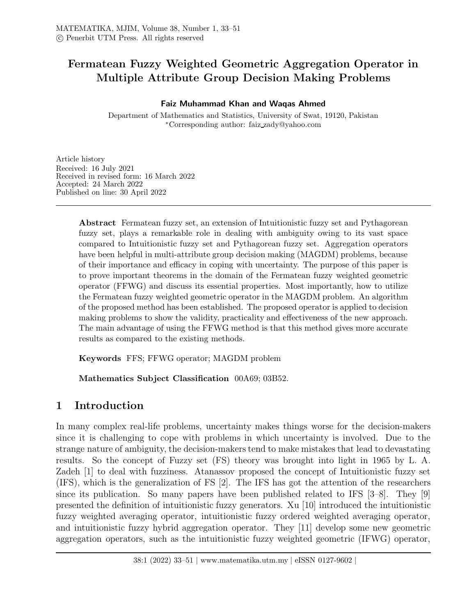# Fermatean Fuzzy Weighted Geometric Aggregation Operator in Multiple Attribute Group Decision Making Problems

### Faiz Muhammad Khan and Waqas Ahmed

Department of Mathematics and Statistics, University of Swat, 19120, Pakistan <sup>∗</sup>Corresponding author: faiz zady@yahoo.com

Article history Received: 16 July 2021 Received in revised form: 16 March 2022 Accepted: 24 March 2022 Published on line: 30 April 2022

> Abstract Fermatean fuzzy set, an extension of Intuitionistic fuzzy set and Pythagorean fuzzy set, plays a remarkable role in dealing with ambiguity owing to its vast space compared to Intuitionistic fuzzy set and Pythagorean fuzzy set. Aggregation operators have been helpful in multi-attribute group decision making (MAGDM) problems, because of their importance and efficacy in coping with uncertainty. The purpose of this paper is to prove important theorems in the domain of the Fermatean fuzzy weighted geometric operator (FFWG) and discuss its essential properties. Most importantly, how to utilize the Fermatean fuzzy weighted geometric operator in the MAGDM problem. An algorithm of the proposed method has been established. The proposed operator is applied to decision making problems to show the validity, practicality and effectiveness of the new approach. The main advantage of using the FFWG method is that this method gives more accurate results as compared to the existing methods.

Keywords FFS; FFWG operator; MAGDM problem

Mathematics Subject Classification 00A69; 03B52.

## 1 Introduction

In many complex real-life problems, uncertainty makes things worse for the decision-makers since it is challenging to cope with problems in which uncertainty is involved. Due to the strange nature of ambiguity, the decision-makers tend to make mistakes that lead to devastating results. So the concept of Fuzzy set (FS) theory was brought into light in 1965 by L. A. Zadeh [1] to deal with fuzziness. Atanassov proposed the concept of Intuitionistic fuzzy set (IFS), which is the generalization of FS [2]. The IFS has got the attention of the researchers since its publication. So many papers have been published related to IFS [3–8]. They [9] presented the definition of intuitionistic fuzzy generators. Xu [10] introduced the intuitionistic fuzzy weighted averaging operator, intuitionistic fuzzy ordered weighted averaging operator, and intuitionistic fuzzy hybrid aggregation operator. They [11] develop some new geometric aggregation operators, such as the intuitionistic fuzzy weighted geometric (IFWG) operator,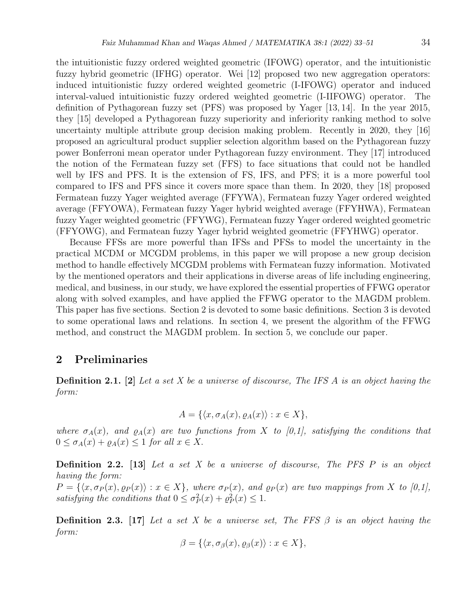the intuitionistic fuzzy ordered weighted geometric (IFOWG) operator, and the intuitionistic fuzzy hybrid geometric (IFHG) operator. Wei [12] proposed two new aggregation operators: induced intuitionistic fuzzy ordered weighted geometric (I-IFOWG) operator and induced interval-valued intuitionistic fuzzy ordered weighted geometric (I-IIFOWG) operator. The definition of Pythagorean fuzzy set (PFS) was proposed by Yager [13, 14]. In the year 2015, they [15] developed a Pythagorean fuzzy superiority and inferiority ranking method to solve uncertainty multiple attribute group decision making problem. Recently in 2020, they [16] proposed an agricultural product supplier selection algorithm based on the Pythagorean fuzzy power Bonferroni mean operator under Pythagorean fuzzy environment. They [17] introduced the notion of the Fermatean fuzzy set (FFS) to face situations that could not be handled well by IFS and PFS. It is the extension of FS, IFS, and PFS; it is a more powerful tool compared to IFS and PFS since it covers more space than them. In 2020, they [18] proposed Fermatean fuzzy Yager weighted average (FFYWA), Fermatean fuzzy Yager ordered weighted average (FFYOWA), Fermatean fuzzy Yager hybrid weighted average (FFYHWA), Fermatean fuzzy Yager weighted geometric (FFYWG), Fermatean fuzzy Yager ordered weighted geometric (FFYOWG), and Fermatean fuzzy Yager hybrid weighted geometric (FFYHWG) operator.

Because FFSs are more powerful than IFSs and PFSs to model the uncertainty in the practical MCDM or MCGDM problems, in this paper we will propose a new group decision method to handle effectively MCGDM problems with Fermatean fuzzy information. Motivated by the mentioned operators and their applications in diverse areas of life including engineering, medical, and business, in our study, we have explored the essential properties of FFWG operator along with solved examples, and have applied the FFWG operator to the MAGDM problem. This paper has five sections. Section 2 is devoted to some basic definitions. Section 3 is devoted to some operational laws and relations. In section 4, we present the algorithm of the FFWG method, and construct the MAGDM problem. In section 5, we conclude our paper.

## 2 Preliminaries

**Definition 2.1.** [2] Let a set X be a universe of discourse, The IFS A is an object having the form:

$$
A = \{ \langle x, \sigma_A(x), \varrho_A(x) \rangle : x \in X \},\
$$

where  $\sigma_A(x)$ , and  $\rho_A(x)$  are two functions from X to [0,1], satisfying the conditions that  $0 \leq \sigma_A(x) + \varrho_A(x) \leq 1$  for all  $x \in X$ .

**Definition 2.2.** [13] Let a set X be a universe of discourse, The PFS P is an object having the form:  $P = \{\langle x, \sigma_P (x), \varrho_P (x)\rangle : x \in X\}$ , where  $\sigma_P (x)$ , and  $\varrho_P (x)$  are two mappings from X to [0,1], satisfying the conditions that  $0 \leq \sigma_P^2(x) + \varrho_P^2(x) \leq 1$ .

**Definition 2.3.** [17] Let a set X be a universe set, The FFS  $\beta$  is an object having the form:

$$
\beta = \{ \langle x, \sigma_{\beta}(x), \varrho_{\beta}(x) \rangle : x \in X \},\
$$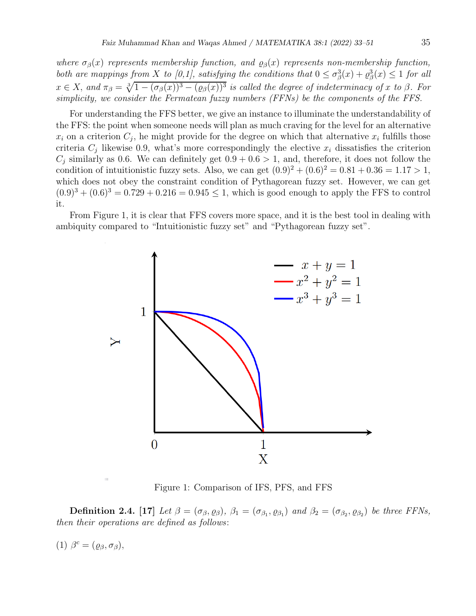where  $\sigma_{\beta}(x)$  represents membership function, and  $\varrho_{\beta}(x)$  represents non-membership function, both are mappings from X to [0,1], satisfying the conditions that  $0 \le \sigma_{\beta}^3(x) + \varrho_{\beta}^3(x) \le 1$  for all  $x \in X$ , and  $\pi_{\beta} = \sqrt[3]{1 - (\sigma_{\beta}(x))^3 - (\rho_{\beta}(x))^3}$  is called the degree of indeterminacy of x to  $\beta$ . For simplicity, we consider the Fermatean fuzzy numbers (FFNs) be the components of the FFS.

For understanding the FFS better, we give an instance to illuminate the understandability of the FFS: the point when someone needs will plan as much craving for the level for an alternative  $x_i$  on a criterion  $C_j$ , he might provide for the degree on which that alternative  $x_i$  fulfills those criteria  $C_i$  likewise 0.9, what's more correspondingly the elective  $x_i$  dissatisfies the criterion  $C_i$  similarly as 0.6. We can definitely get  $0.9 + 0.6 > 1$ , and, therefore, it does not follow the condition of intuitionistic fuzzy sets. Also, we can get  $(0.9)^{2} + (0.6)^{2} = 0.81 + 0.36 = 1.17 > 1$ , which does not obey the constraint condition of Pythagorean fuzzy set. However, we can get  $(0.9)^3 + (0.6)^3 = 0.729 + 0.216 = 0.945 \le 1$ , which is good enough to apply the FFS to control it.

From Figure 1, it is clear that FFS covers more space, and it is the best tool in dealing with ambiquity compared to "Intuitionistic fuzzy set" and "Pythagorean fuzzy set".



Figure 1: Comparison of IFS, PFS, and FFS

**Definition 2.4.** [17] Let  $\beta = (\sigma_{\beta}, \rho_{\beta}), \beta_1 = (\sigma_{\beta_1}, \rho_{\beta_1})$  and  $\beta_2 = (\sigma_{\beta_2}, \rho_{\beta_2})$  be three FFNs, then their operations are defined as follows:

$$
(1) \ \beta^c = (\varrho_\beta, \sigma_\beta),
$$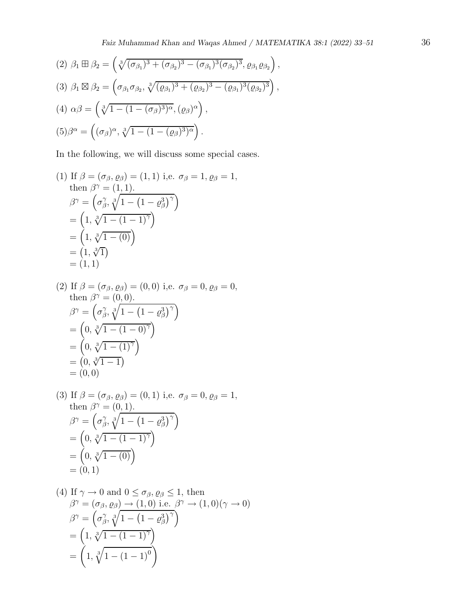(2) 
$$
\beta_1 \boxplus \beta_2 = (\sqrt[3]{(\sigma_{\beta_1})^3 + (\sigma_{\beta_2})^3 - (\sigma_{\beta_1})^3 (\sigma_{\beta_2})^3}, \varrho_{\beta_1} \varrho_{\beta_2}),
$$
  
\n(3)  $\beta_1 \boxtimes \beta_2 = (\sigma_{\beta_1} \sigma_{\beta_2}, \sqrt[3]{(\varrho_{\beta_1})^3 + (\varrho_{\beta_2})^3 - (\varrho_{\beta_1})^3 (\varrho_{\beta_2})^3}),$   
\n(4)  $\alpha \beta = (\sqrt[3]{1 - (1 - (\sigma_{\beta})^3)^{\alpha}}, (\varrho_{\beta})^{\alpha}),$   
\n(5)  $\beta^{\alpha} = ((\sigma_{\beta})^{\alpha}, \sqrt[3]{1 - (1 - (\varrho_{\beta})^3)^{\alpha}}).$ 

In the following, we will discuss some special cases.

(1) If 
$$
\beta = (\sigma_{\beta}, \rho_{\beta}) = (1, 1)
$$
 i.e.  $\sigma_{\beta} = 1$ ,  $\rho_{\beta} = 1$ ,  
\nthen  $\beta^{\gamma} = (1, 1)$ .  
\n
$$
\beta^{\gamma} = (\sigma_{\beta}^{\gamma}, \sqrt[3]{1 - (1 - \rho_{\beta}^3)^{\gamma}})
$$
\n
$$
= (1, \sqrt[3]{1 - (1 - 1)^{\gamma}})
$$
\n
$$
= (1, \sqrt[3]{1})
$$
\n
$$
= (1, 1)
$$

(2) If 
$$
\beta = (\sigma_{\beta}, \rho_{\beta}) = (0, 0)
$$
 i.e.  $\sigma_{\beta} = 0$ ,  $\rho_{\beta} = 0$ ,  
\nthen  $\beta^{\gamma} = (0, 0)$ .  
\n
$$
\beta^{\gamma} = (\sigma_{\beta}^{\gamma}, \sqrt[3]{1 - (1 - \rho_{\beta}^{3})^{\gamma}})
$$
\n
$$
= (0, \sqrt[3]{1 - (1 - 0)^{\gamma}})
$$
\n
$$
= (0, \sqrt[3]{1 - 1})
$$
\n
$$
= (0, 0)
$$

(3) If 
$$
\beta = (\sigma_{\beta}, \rho_{\beta}) = (0, 1)
$$
 i.e.  $\sigma_{\beta} = 0, \rho_{\beta} = 1$ ,  
\nthen  $\beta^{\gamma} = (0, 1)$ .  
\n
$$
\beta^{\gamma} = (\sigma_{\beta}^{\gamma}, \sqrt[3]{1 - (1 - \rho_{\beta}^{3})^{\gamma}})
$$
\n
$$
= (0, \sqrt[3]{1 - (1 - 1)^{\gamma}})
$$
\n
$$
= (0, \sqrt[3]{1 - (0)})
$$
\n
$$
= (0, 1)
$$

(4) If 
$$
\gamma \to 0
$$
 and  $0 \le \sigma_{\beta}$ ,  $\rho_{\beta} \le 1$ , then  
\n
$$
\beta^{\gamma} = (\sigma_{\beta}, \rho_{\beta}) \to (1, 0) \text{ i.e. } \beta^{\gamma} \to (1, 0) (\gamma \to 0)
$$
\n
$$
\beta^{\gamma} = \left(\sigma_{\beta}^{\gamma}, \sqrt[3]{1 - (1 - \rho_{\beta}^3)^{\gamma}}\right)
$$
\n
$$
= \left(1, \sqrt[3]{1 - (1 - 1)^{\gamma}}\right)
$$
\n
$$
= \left(1, \sqrt[3]{1 - (1 - 1)^{0}}\right)
$$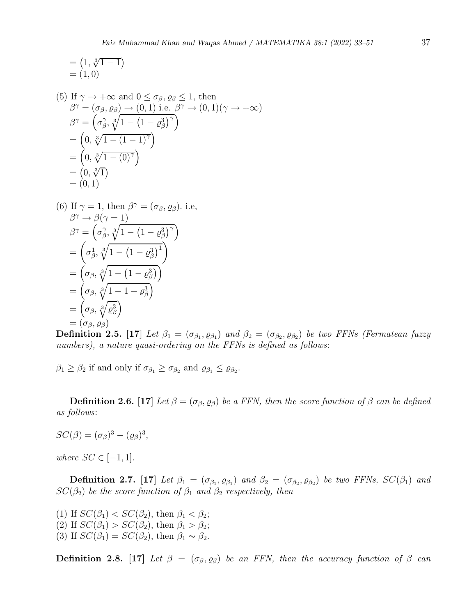$$
= (1, \sqrt[3]{1 - 1})
$$
  
= (1, 0)

(5) If 
$$
\gamma \to +\infty
$$
 and  $0 \le \sigma_{\beta}$ ,  $\rho_{\beta} \le 1$ , then  
\n
$$
\beta^{\gamma} = (\sigma_{\beta}, \rho_{\beta}) \to (0, 1) \text{ i.e. } \beta^{\gamma} \to (0, 1)(\gamma \to +\infty)
$$
\n
$$
\beta^{\gamma} = \left(\sigma_{\beta}^{\gamma}, \sqrt[3]{1 - (1 - \rho_{\beta}^{3})^{\gamma}}\right)
$$
\n
$$
= \left(0, \sqrt[3]{1 - (1 - 1)^{\gamma}}\right)
$$
\n
$$
= \left(0, \sqrt[3]{1 - (0)^{\gamma}}\right)
$$
\n
$$
= (0, \sqrt[3]{1})
$$
\n
$$
= (0, 1)
$$

(6) If 
$$
\gamma = 1
$$
, then  $\beta^{\gamma} = (\sigma_{\beta}, \varrho_{\beta})$ . i.e,  
\n
$$
\beta^{\gamma} \rightarrow \beta(\gamma = 1)
$$
\n
$$
\beta^{\gamma} = (\sigma_{\beta}^{\gamma}, \sqrt[3]{1 - (1 - \varrho_{\beta}^{3})^{\gamma}})
$$
\n
$$
= (\sigma_{\beta}^{1}, \sqrt[3]{1 - (1 - \varrho_{\beta}^{3})^{\gamma}})
$$
\n
$$
= (\sigma_{\beta}, \sqrt[3]{1 - (1 - \varrho_{\beta}^{3})})
$$
\n
$$
= (\sigma_{\beta}, \sqrt[3]{1 - 1 + \varrho_{\beta}^{3}})
$$
\n
$$
= (\sigma_{\beta}, \sqrt[3]{\varrho_{\beta}^{3}})
$$
\n
$$
= (\sigma_{\beta}, \varrho_{\beta})
$$

**Definition 2.5.** [17] Let  $\beta_1 = (\sigma_{\beta_1}, \rho_{\beta_1})$  and  $\beta_2 = (\sigma_{\beta_2}, \rho_{\beta_2})$  be two FFNs (Fermatean fuzzy numbers), a nature quasi-ordering on the FFNs is defined as follows:

 $\beta_1 \geq \beta_2$  if and only if  $\sigma_{\beta_1} \geq \sigma_{\beta_2}$  and  $\varrho_{\beta_1} \leq \varrho_{\beta_2}$ .

**Definition 2.6.** [17] Let  $\beta = (\sigma_{\beta}, \rho_{\beta})$  be a FFN, then the score function of  $\beta$  can be defined as follows:

 $SC(\beta) = (\sigma_{\beta})^3 - (\rho_{\beta})^3$ ,

where  $SC \in [-1, 1]$ .

**Definition 2.7.** [17] Let  $\beta_1 = (\sigma_{\beta_1}, \rho_{\beta_1})$  and  $\beta_2 = (\sigma_{\beta_2}, \rho_{\beta_2})$  be two FFNs,  $SC(\beta_1)$  and  $SC(\beta_2)$  be the score function of  $\beta_1$  and  $\beta_2$  respectively, then

(1) If  $SC(\beta_1) < SC(\beta_2)$ , then  $\beta_1 < \beta_2$ ; (2) If  $SC(\beta_1) > SC(\beta_2)$ , then  $\beta_1 > \beta_2$ ; (3) If  $SC(\beta_1) = SC(\beta_2)$ , then  $\beta_1 \sim \beta_2$ .

**Definition 2.8.** [17] Let  $\beta = (\sigma_{\beta}, \rho_{\beta})$  be an FFN, then the accuracy function of  $\beta$  can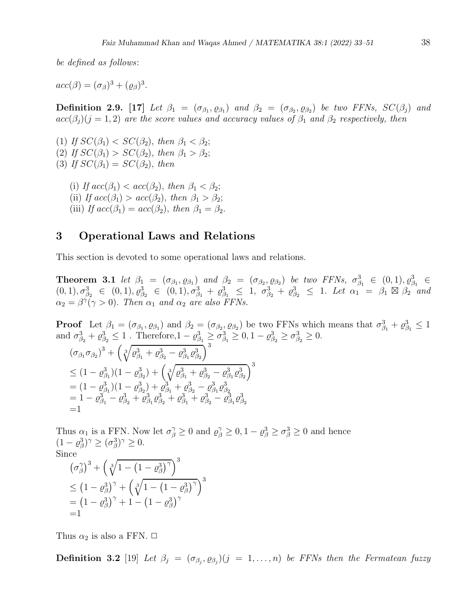be defined as follows:

 $acc(\beta) = (\sigma_{\beta})^3 + (\varrho_{\beta})^3$ .

**Definition 2.9.** [17] Let  $\beta_1 = (\sigma_{\beta_1}, \rho_{\beta_1})$  and  $\beta_2 = (\sigma_{\beta_2}, \rho_{\beta_2})$  be two FFNs,  $SC(\beta_j)$  and  $acc(\beta_i)(j=1,2)$  are the score values and accuracy values of  $\beta_1$  and  $\beta_2$  respectively, then

(1) If  $SC(\beta_1) < SC(\beta_2)$ , then  $\beta_1 < \beta_2$ ; (2) If  $SC(\beta_1) > SC(\beta_2)$ , then  $\beta_1 > \beta_2$ ; (3) If  $SC(\beta_1) = SC(\beta_2)$ , then

(i) If  $acc(\beta_1) < acc(\beta_2)$ , then  $\beta_1 < \beta_2$ ; (ii) If  $acc(\beta_1) > acc(\beta_2)$ , then  $\beta_1 > \beta_2$ ; (iii) If  $acc(\beta_1) = acc(\beta_2)$ , then  $\beta_1 = \beta_2$ .

## 3 Operational Laws and Relations

This section is devoted to some operational laws and relations.

**Theorem 3.1** let  $\beta_1 = (\sigma_{\beta_1}, \rho_{\beta_1})$  and  $\beta_2 = (\sigma_{\beta_2}, \rho_{\beta_2})$  be two FFNs,  $\sigma_{\beta_1}^3 \in (0,1), \rho_{\beta_1}^3 \in$  $(0, 1), \sigma_{\beta_2}^3 \in (0, 1), \rho_{\beta_2}^3 \in (0, 1), \sigma_{\beta_1}^3 + \rho_{\beta_1}^3 \leq 1, \sigma_{\beta_2}^3 + \rho_{\beta_2}^3 \leq 1$ . Let  $\alpha_1 = \beta_1 \boxtimes \beta_2$  and  $\alpha_2 = \beta \gamma(\gamma > 0)$ . Then  $\alpha_1$  and  $\alpha_2$  are also FFNs.

**Proof** Let  $\beta_1 = (\sigma_{\beta_1}, \rho_{\beta_1})$  and  $\beta_2 = (\sigma_{\beta_2}, \rho_{\beta_2})$  be two FFNs which means that  $\sigma_{\beta_1}^3 + \rho_{\beta_1}^3 \leq 1$ and  $\sigma_{\beta_2}^3 + \varrho_{\beta_2}^3 \le 1$ . Therefore,  $1 - \varrho_{\beta_1}^3 \ge \sigma_{\beta_1}^3 \ge 0$ ,  $1 - \varrho_{\beta_2}^3 \ge \sigma_{\beta_2}^3 \ge 0$ .  $\left( \sigma_{\beta_1} \sigma_{\beta_2} \right)^3 + \left( \sqrt[3]{\varrho_{\beta_1}^3 + \varrho_{\beta_2}^3 - \varrho_{\beta_1}^3 \varrho_{\beta_2}^3} \right)^3$  $\leq (1-\varrho_{\beta_1}^3)(1-\varrho_{\beta_2}^3)+\left(\sqrt[3]{\varrho_{\beta_1}^3+\varrho_{\beta_2}^3-\varrho_{\beta_1}^3\varrho_{\beta_2}^3}\right)^3$  $= (1 - \varrho_{\beta_1}^3)(1 - \varrho_{\beta_2}^3) + \varrho_{\beta_1}^3 + \varrho_{\beta_2}^3 - \varrho_{\beta_1}^3 \varrho_{\beta_2}^3$  $= 1 - \varrho_{\beta_1}^3 - \varrho_{\beta_2}^3 + \varrho_{\beta_1}^3 \varrho_{\beta_2}^3 + \varrho_{\beta_1}^3 + \varrho_{\beta_2}^3 - \varrho_{\beta_1}^3 \varrho_{\beta_2}^3$ 

Thus  $\alpha_1$  is a FFN. Now let  $\sigma_{\beta}^{\gamma} \ge 0$  and  $\rho_{\beta}^{\gamma} \ge 0, 1 - \rho_{\beta}^3 \ge \sigma_{\beta}^3 \ge 0$  and hence  $(1 - \varrho_{\beta}^3)^{\gamma} \geq (\sigma_{\beta}^3)^{\gamma} \geq 0.$ Since

$$
(\sigma_{\beta}^{\gamma})^3 + (\sqrt[3]{1 - (1 - \varrho_{\beta}^3)^{\gamma}})^3
$$
  
\n
$$
\leq (1 - \varrho_{\beta}^3)^{\gamma} + (\sqrt[3]{1 - (1 - \varrho_{\beta}^3)^{\gamma}})^3
$$
  
\n
$$
= (1 - \varrho_{\beta}^3)^{\gamma} + 1 - (1 - \varrho_{\beta}^3)^{\gamma}
$$
  
\n
$$
= 1
$$

Thus  $\alpha_2$  is also a FFN.  $\Box$ 

 $=1$ 

**Definition 3.2** [19] Let  $\beta_j = (\sigma_{\beta_j}, \varrho_{\beta_j})$  (j = 1, ..., n) be FFNs then the Fermatean fuzzy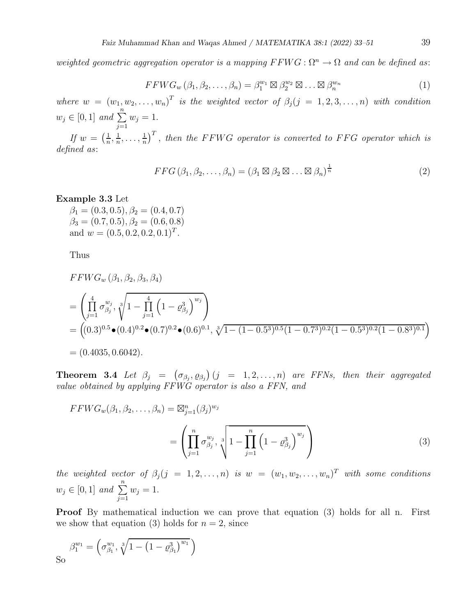weighted geometric aggregation operator is a mapping  $FFWG: \Omega^n \to \Omega$  and can be defined as:

$$
FFWG_w(\beta_1, \beta_2, \dots, \beta_n) = \beta_1^{w_1} \boxtimes \beta_2^{w_2} \boxtimes \dots \boxtimes \beta_n^{w_n}
$$
 (1)

where  $w = (w_1, w_2, \ldots, w_n)^T$  is the weighted vector of  $\beta_j (j = 1, 2, 3, \ldots, n)$  with condition  $w_j \in [0, 1]$  and  $\sum_{j=1}^{n}$  $w_j = 1$ .

If  $w = \left(\frac{1}{n}\right)$  $\frac{1}{n}, \frac{1}{n}$  $\frac{1}{n}, \ldots, \frac{1}{n}$  $\frac{1}{n}$ <sup>T</sup>, then the FFWG operator is converted to FFG operator which is defined as:

$$
FFG(\beta_1, \beta_2, \dots, \beta_n) = (\beta_1 \boxtimes \beta_2 \boxtimes \dots \boxtimes \beta_n)^{\frac{1}{n}}
$$
\n(2)

#### Example 3.3 Let

 $\beta_1 = (0.3, 0.5), \beta_2 = (0.4, 0.7)$  $\beta_3 = (0.7, 0.5), \beta_2 = (0.6, 0.8)$ and  $w = (0.5, 0.2, 0.2, 0.1)^T$ .

Thus

$$
FWG_w (\beta_1, \beta_2, \beta_3, \beta_4)
$$
  
=  $\left( \prod_{j=1}^4 \sigma_{\beta_j}^{w_j}, \sqrt[3]{1 - \prod_{j=1}^4 (1 - \varrho_{\beta_j}^3)} \right)$   
=  $((0.3)^{0.5} \bullet (0.4)^{0.2} \bullet (0.7)^{0.2} \bullet (0.6)^{0.1}, \sqrt[3]{1 - (1 - 0.5^3)^{0.5} (1 - 0.7^3)^{0.2} (1 - 0.5^3)^{0.2} (1 - 0.8^3)^{0.1}})$   
=  $(0.4035, 0.6042).$ 

**Theorem 3.4** Let  $\beta_j = (\sigma_{\beta_j}, \varrho_{\beta_j}) (j = 1, 2, ..., n)$  are FFNs, then their aggregated value obtained by applying FFWG operator is also a FFN, and

$$
FFWG_w(\beta_1, \beta_2, ..., \beta_n) = \boxtimes_{j=1}^n (\beta_j)^{w_j}
$$
  
= 
$$
\left( \prod_{j=1}^n \sigma_{\beta_j}^{w_j}, \sqrt[n]{1 - \prod_{j=1}^n (1 - \varrho_{\beta_j}^3)^{w_j}} \right)
$$
 (3)

the weighted vector of  $\beta_j$  (j = 1, 2, ..., n) is  $w = (w_1, w_2, \ldots, w_n)^T$  with some conditions  $w_j \in [0, 1]$  and  $\sum_{j=1}^{n}$  $w_j = 1$ .

**Proof** By mathematical induction we can prove that equation (3) holds for all n. First we show that equation (3) holds for  $n = 2$ , since

So 
$$
\beta_1^{w_1} = \left(\sigma_{\beta_1}^{w_1}, \sqrt[3]{1 - \left(1 - \varrho_{\beta_1}^3\right)^{w_1}}\right)
$$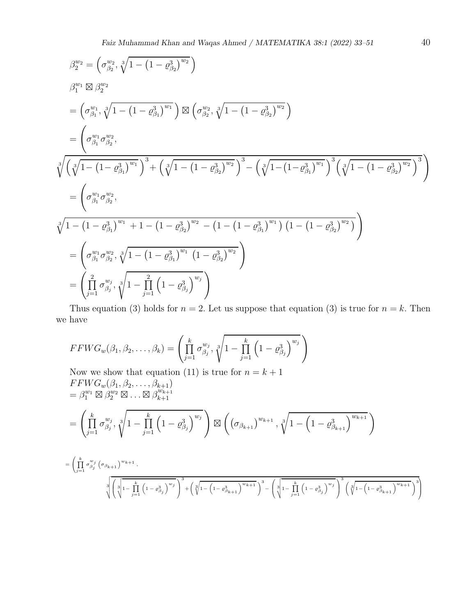$$
\beta_2^{w_2} = \left(\sigma_{\beta_2}^{w_2}, \sqrt[3]{1 - (1 - \rho_{\beta_2}^3)^{w_2}}\right)
$$
  
\n
$$
\beta_1^{w_1} \boxtimes \beta_2^{w_2}
$$
  
\n
$$
= \left(\sigma_{\beta_1}^{w_1}, \sqrt[3]{1 - (1 - \rho_{\beta_1}^3)^{w_1}}\right) \boxtimes \left(\sigma_{\beta_2}^{w_2}, \sqrt[3]{1 - (1 - \rho_{\beta_2}^3)^{w_2}}\right)
$$
  
\n
$$
= \left(\sigma_{\beta_1}^{w_1} \sigma_{\beta_2}^{w_2}, \sqrt[3]{\left(\sqrt[3]{1 - (1 - \rho_{\beta_1}^3)^{w_1}}\right)^3 + \left(\sqrt[3]{1 - (1 - \rho_{\beta_2}^3)^{w_2}}\right)^3 - \left(\sqrt[3]{1 - (1 - \rho_{\beta_1}^3)^{w_1}}\right)^3 \left(\sqrt[3]{1 - (1 - \rho_{\beta_2}^3)^{w_2}}\right)^3}\right)
$$
  
\n
$$
= \left(\sigma_{\beta_1}^{w_1} \sigma_{\beta_2}^{w_2}, \sqrt[3]{1 - (1 - \rho_{\beta_1}^3)^{w_1} + 1 - (1 - \rho_{\beta_2}^3)^{w_2} - (1 - (1 - \rho_{\beta_1}^3)^{w_1}) (1 - (1 - \rho_{\beta_2}^3)^{w_2})}\right)
$$
  
\n
$$
= \left(\sigma_{\beta_1}^{w_1} \sigma_{\beta_2}^{w_2}, \sqrt[3]{1 - (1 - \rho_{\beta_1}^3)^{w_1} (1 - \rho_{\beta_2}^3)^{w_2}}\right)
$$
  
\n
$$
= \left(\prod_{j=1}^2 \sigma_{\beta_j}^{w_j}, \sqrt[3]{1 - \prod_{j=1}^2 (1 - \rho_{\beta_j}^3)^{w_j}}\right)
$$

Thus equation (3) holds for  $n = 2$ . Let us suppose that equation (3) is true for  $n = k$ . Then we have

$$
FFWG_w(\beta_1, \beta_2, \dots, \beta_k) = \left(\prod_{j=1}^k \sigma_{\beta_j}^{w_j}, \sqrt[3]{1 - \prod_{j=1}^k \left(1 - \varrho_{\beta_j}^3\right)^{w_j}}\right)
$$

Now we show that equation (11) is true for 
$$
n = k + 1
$$
  
\n
$$
FFWG_w(\beta_1, \beta_2, ..., \beta_{k+1})
$$
\n
$$
= \beta_1^{w_1} \boxtimes \beta_2^{w_2} \boxtimes ... \boxtimes \beta_{k+1}^{w_{k+1}}
$$
\n
$$
= \left( \prod_{j=1}^k \sigma_{\beta_j}^{w_j}, \sqrt[3]{1 - \prod_{j=1}^k (1 - \varrho_{\beta_j}^3)^{w_j}} \right) \boxtimes \left( (\sigma_{\beta_{k+1}})^{w_{k+1}}, \sqrt[3]{1 - (1 - \varrho_{\beta_{k+1}}^3)^{w_{k+1}}} \right)
$$
\n
$$
= \left( \prod_{j=1}^k \sigma_{\beta_j}^{w_j} (\sigma_{\beta_{k+1}})^{w_{k+1}}, \sqrt[3]{1 - (1 - \varrho_{\beta_{k+1}}^3)^{w_{k+1}}} \right) \prod_{j=1}^k \left( \sum_{j=1}^k \left( 1 - \varrho_{\beta_j}^3 \right)^{w_j} \right)^{w_j} + \left( \sqrt[3]{1 - (1 - \varrho_{\beta_{k+1}}^3)^{w_{k+1}}} \right)^{w_j} - \left( \sqrt[3]{1 - \prod_{j=1}^k (1 - \varrho_{\beta_j}^3)^{w_j}} \right)^{w_j} \left( \sqrt[3]{1 - (1 - \varrho_{\beta_{k+1}}^3)^{w_{k+1}}} \right)^{w_j} \right)
$$

 $\Big\}$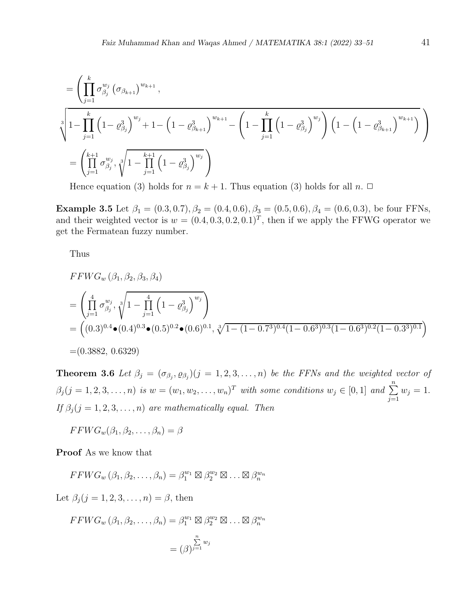$$
= \left( \prod_{j=1}^{k} \sigma_{\beta_{j}}^{w_{j}} \left( \sigma_{\beta_{k+1}} \right)^{w_{k+1}},
$$
\n
$$
\sqrt[3]{1-\prod_{j=1}^{k} \left( 1-\varrho_{\beta_{j}}^{3} \right)^{w_{j}} + 1 - \left( 1-\varrho_{\beta_{k+1}}^{3} \right)^{w_{k+1}} - \left( 1-\prod_{j=1}^{k} \left( 1-\varrho_{\beta_{j}}^{3} \right)^{w_{j}} \right) \left( 1 - \left( 1-\varrho_{\beta_{k+1}}^{3} \right)^{w_{k+1}} \right)}
$$
\n
$$
= \left( \prod_{j=1}^{k+1} \sigma_{\beta_{j}}^{w_{j}}, \sqrt[3]{1-\prod_{j=1}^{k+1} \left( 1-\varrho_{\beta_{j}}^{3} \right)^{w_{j}}} \right)
$$

Hence equation (3) holds for  $n = k + 1$ . Thus equation (3) holds for all  $n \square$ 

Example 3.5 Let  $\beta_1 = (0.3, 0.7), \beta_2 = (0.4, 0.6), \beta_3 = (0.5, 0.6), \beta_4 = (0.6, 0.3),$  be four FFNs, and their weighted vector is  $w = (0.4, 0.3, 0.2, 0.1)^T$ , then if we apply the FFWG operator we get the Fermatean fuzzy number.

Thus

$$
FWG_w(\beta_1, \beta_2, \beta_3, \beta_4)
$$
  
=  $\left(\prod_{j=1}^4 \sigma_{\beta_j}^{w_j}, \sqrt[3]{1 - \prod_{j=1}^4 (1 - \varrho_{\beta_j}^3)}\right)$   
=  $\left((0.3)^{0.4} \bullet (0.4)^{0.3} \bullet (0.5)^{0.2} \bullet (0.6)^{0.1}, \sqrt[3]{1 - (1 - 0.7^3)^{0.4} (1 - 0.6^3)^{0.3} (1 - 0.6^3)^{0.2} (1 - 0.3^3)^{0.1}}\right)$   
=  $(0.3882, 0.6329)$ 

**Theorem 3.6** Let  $\beta_j = (\sigma_{\beta_j}, \varrho_{\beta_j}) (j = 1, 2, 3, \ldots, n)$  be the FFNs and the weighted vector of  $\beta_j$  (j = 1, 2, 3, ..., n) is  $w = (w_1, w_2, \ldots, w_n)^T$  with some conditions  $w_j \in [0, 1]$  and  $\sum_{j=1}^n$  $w_j = 1$ . If  $\beta_j$  (j = 1, 2, 3, ..., n) are mathematically equal. Then

 $FFWG_w(\beta_1, \beta_2, \ldots, \beta_n) = \beta$ 

Proof As we know that

$$
FFWG_w(\beta_1, \beta_2, \dots, \beta_n) = \beta_1^{w_1} \boxtimes \beta_2^{w_2} \boxtimes \dots \boxtimes \beta_n^{w_n}
$$

Let  $\beta_i$   $(j = 1, 2, 3, \ldots, n) = \beta$ , then

$$
FFWG_w(\beta_1, \beta_2, \dots, \beta_n) = \beta_1^{w_1} \boxtimes \beta_2^{w_2} \boxtimes \dots \boxtimes \beta_n^{w_n}
$$

$$
= (\beta)^{\sum_{j=1}^n w_j}
$$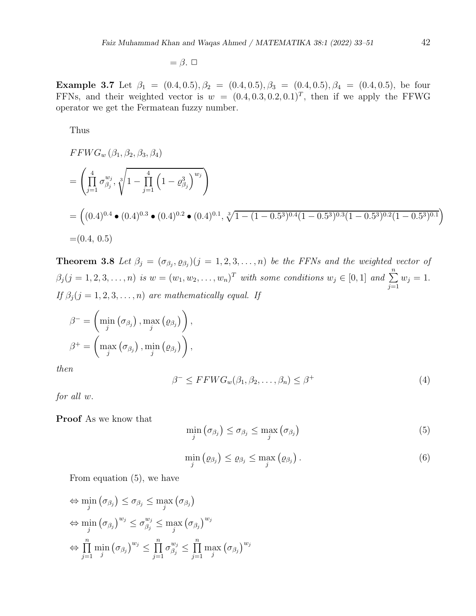$=\beta$ .  $\square$ 

Example 3.7 Let  $\beta_1 = (0.4, 0.5), \beta_2 = (0.4, 0.5), \beta_3 = (0.4, 0.5), \beta_4 = (0.4, 0.5),$  be four FFNs, and their weighted vector is  $w = (0.4, 0.3, 0.2, 0.1)^T$ , then if we apply the FFWG operator we get the Fermatean fuzzy number.

Thus

$$
FFWG_w(\beta_1, \beta_2, \beta_3, \beta_4)
$$
  
=  $\left(\prod_{j=1}^4 \sigma_{\beta_j}^{w_j}, \sqrt[3]{1 - \prod_{j=1}^4 (1 - \varrho_{\beta_j}^3)}\right)$   
=  $\left((0.4)^{0.4} \bullet (0.4)^{0.3} \bullet (0.4)^{0.2} \bullet (0.4)^{0.1}, \sqrt[3]{1 - (1 - 0.5^3)^{0.4}(1 - 0.5^3)^{0.3}(1 - 0.5^3)^{0.2}(1 - 0.5^3)^{0.1}}\right)$   
=  $(0.4, 0.5)$ 

**Theorem 3.8** Let  $\beta_j = (\sigma_{\beta_j}, \varrho_{\beta_j}) (j = 1, 2, 3, \ldots, n)$  be the FFNs and the weighted vector of  $\beta_j$  (j = 1, 2, 3, ..., n) is  $w = (w_1, w_2, \ldots, w_n)^T$  with some conditions  $w_j \in [0, 1]$  and  $\sum_{j=1}^n$  $w_j = 1$ . If  $\beta_j$  (j = 1, 2, 3, ..., n) are mathematically equal. If

$$
\beta^{-} = \left(\min_{j} (\sigma_{\beta_j}), \max_{j} (\varrho_{\beta_j})\right),
$$

$$
\beta^{+} = \left(\max_{j} (\sigma_{\beta_j}), \min_{j} (\varrho_{\beta_j})\right),
$$

then

$$
\beta^{-} \le FFWG_w(\beta_1, \beta_2, \dots, \beta_n) \le \beta^{+}
$$
\n(4)

for all w.

Proof As we know that

$$
\min_{j} (\sigma_{\beta_j}) \leq \sigma_{\beta_j} \leq \max_{j} (\sigma_{\beta_j})
$$
\n(5)

$$
\min_{j} (\varrho_{\beta_j}) \leq \varrho_{\beta_j} \leq \max_{j} (\varrho_{\beta_j}). \tag{6}
$$

From equation (5), we have

$$
\Leftrightarrow \min_{j} (\sigma_{\beta_j}) \leq \sigma_{\beta_j} \leq \max_{j} (\sigma_{\beta_j})
$$
  

$$
\Leftrightarrow \min_{j} (\sigma_{\beta_j})^{w_j} \leq \sigma_{\beta_j}^{w_j} \leq \max_{j} (\sigma_{\beta_j})^{w_j}
$$
  

$$
\Leftrightarrow \prod_{j=1}^{n} \min_{j} (\sigma_{\beta_j})^{w_j} \leq \prod_{j=1}^{n} \sigma_{\beta_j}^{w_j} \leq \prod_{j=1}^{n} \max_{j} (\sigma_{\beta_j})^{w_j}
$$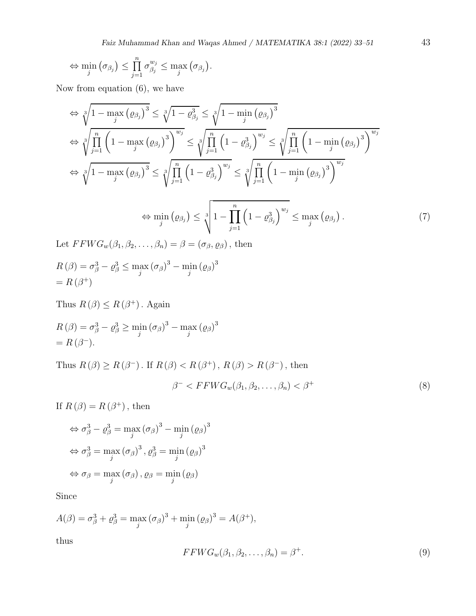$$
\Leftrightarrow \min_{j} (\sigma_{\beta_j}) \leq \prod_{j=1}^n \sigma_{\beta_j}^{w_j} \leq \max_{j} (\sigma_{\beta_j}).
$$

Now from equation (6), we have

$$
\Leftrightarrow \sqrt[3]{1 - \max_{j} (\varrho_{\beta_{j}})^{3}} \le \sqrt[3]{1 - \varrho_{\beta_{j}}^{3}} \le \sqrt[3]{1 - \min_{j} (\varrho_{\beta_{j}})^{3}}
$$
  
\n
$$
\Leftrightarrow \sqrt[3]{\prod_{j=1}^{n} \left(1 - \max_{j} (\varrho_{\beta_{j}})^{3}\right)^{w_{j}}} \le \sqrt[3]{\prod_{j=1}^{n} \left(1 - \varrho_{\beta_{j}}^{3}\right)^{w_{j}}} \le \sqrt[3]{\prod_{j=1}^{n} \left(1 - \min_{j} (\varrho_{\beta_{j}})^{3}\right)^{w_{j}}}
$$
  
\n
$$
\Leftrightarrow \sqrt[3]{1 - \max_{j} (\varrho_{\beta_{j}})^{3}} \le \sqrt[3]{\prod_{j=1}^{n} \left(1 - \varrho_{\beta_{j}}^{3}\right)^{w_{j}}} \le \sqrt[3]{\prod_{j=1}^{n} \left(1 - \min_{j} (\varrho_{\beta_{j}})^{3}\right)^{w_{j}}}
$$
  
\n
$$
\Leftrightarrow \min_{j} (\varrho_{\beta_{j}}) \le \sqrt[3]{1 - \prod_{j=1}^{n} \left(1 - \varrho_{\beta_{j}}^{3}\right)^{w_{j}}} \le \max_{j} (\varrho_{\beta_{j}}).
$$
\n(7)

Let  $FFWG_w(\beta_1, \beta_2, \ldots, \beta_n) = \beta = (\sigma_{\beta}, \varrho_{\beta})$ , then

$$
R(\beta) = \sigma_{\beta}^{3} - \varrho_{\beta}^{3} \le \max_{j} (\sigma_{\beta})^{3} - \min_{j} (\varrho_{\beta})^{3}
$$
  
=  $R(\beta^{+})$ 

Thus  $R(\beta) \leq R(\beta^+)$ . Again

$$
R(\beta) = \sigma_{\beta}^{3} - \varrho_{\beta}^{3} \ge \min_{j} (\sigma_{\beta})^{3} - \max_{j} (\varrho_{\beta})^{3}
$$
  
=  $R(\beta^{-}).$ 

Thus  $R(\beta) \ge R(\beta^-)$ . If  $R(\beta) < R(\beta^+)$ ,  $R(\beta) > R(\beta^-)$ , then  $\beta^-$  <  $FFWG_w(\beta_1, \beta_2, \dots, \beta_n)$  <  $\beta^+$  (8)

If  $R(\beta) = R(\beta^+)$ , then

$$
\Leftrightarrow \sigma_{\beta}^{3} - \varrho_{\beta}^{3} = \max_{j} (\sigma_{\beta})^{3} - \min_{j} (\varrho_{\beta})^{3}
$$

$$
\Leftrightarrow \sigma_{\beta}^{3} = \max_{j} (\sigma_{\beta})^{3}, \varrho_{\beta}^{3} = \min_{j} (\varrho_{\beta})^{3}
$$

$$
\Leftrightarrow \sigma_{\beta} = \max_{j} (\sigma_{\beta}), \varrho_{\beta} = \min_{j} (\varrho_{\beta})
$$

Since

$$
A(\beta) = \sigma_{\beta}^3 + \varrho_{\beta}^3 = \max_j (\sigma_{\beta})^3 + \min_j (\varrho_{\beta})^3 = A(\beta^+),
$$

thus

$$
FFWG_w(\beta_1, \beta_2, \dots, \beta_n) = \beta^+.
$$
\n(9)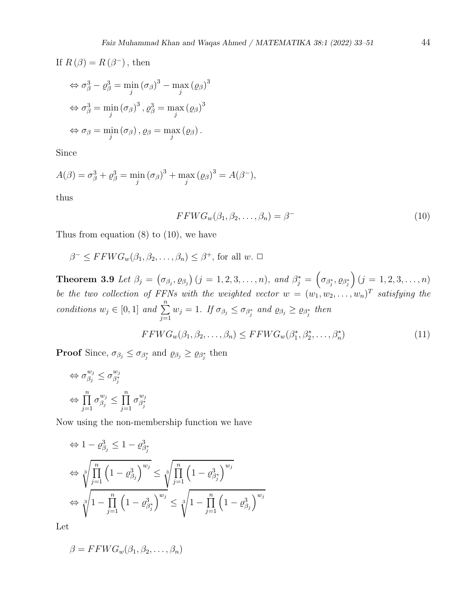If  $R(\beta) = R(\beta^-)$ , then

$$
\Leftrightarrow \sigma_{\beta}^{3} - \varrho_{\beta}^{3} = \min_{j} (\sigma_{\beta})^{3} - \max_{j} (\varrho_{\beta})^{3}
$$

$$
\Leftrightarrow \sigma_{\beta}^{3} = \min_{j} (\sigma_{\beta})^{3}, \varrho_{\beta}^{3} = \max_{j} (\varrho_{\beta})^{3}
$$

$$
\Leftrightarrow \sigma_{\beta} = \min_{j} (\sigma_{\beta}), \varrho_{\beta} = \max_{j} (\varrho_{\beta}).
$$

Since

$$
A(\beta) = \sigma_{\beta}^3 + \varrho_{\beta}^3 = \min_{j} (\sigma_{\beta})^3 + \max_{j} (\varrho_{\beta})^3 = A(\beta^{-}),
$$

thus

$$
FFWG_w(\beta_1, \beta_2, \dots, \beta_n) = \beta^- \tag{10}
$$

Thus from equation (8) to (10), we have

$$
\beta^{-} \leq FFWG_w(\beta_1, \beta_2, \dots, \beta_n) \leq \beta^{+}, \text{ for all } w. \ \Box
$$

**Theorem 3.9** Let  $\beta_j = (\sigma_{\beta_j}, \rho_{\beta_j}) (j = 1, 2, 3, ..., n)$ , and  $\beta_j^* = (\sigma_{\beta_j^*}, \rho_{\beta_j^*}) (j = 1, 2, 3, ..., n)$ be the two collection of FFNs with the weighted vector  $w = (w_1, w_2, \ldots, w_n)^T$  satisfying the conditions  $w_j \in [0,1]$  and  $\sum_{j=1}^n w_j = 1$ . If  $\sigma_{\beta_j} \leq \sigma_{\beta_j^*}$  and  $\varrho_{\beta_j} \geq \varrho_{\beta_j^*}$  then

$$
FFWG_w(\beta_1, \beta_2, \dots, \beta_n) \le FFWG_w(\beta_1^*, \beta_2^*, \dots, \beta_n^*)
$$
\n
$$
(11)
$$

**Proof** Since,  $\sigma_{\beta_j} \leq \sigma_{\beta_j^*}$  and  $\varrho_{\beta_j} \geq \varrho_{\beta_j^*}$  then

$$
\Leftrightarrow \sigma_{\beta_j}^{w_j} \leq \sigma_{\beta_j^*}^{w_j}
$$

$$
\Leftrightarrow \prod_{j=1}^n \sigma_{\beta_j}^{w_j} \leq \prod_{j=1}^n \sigma_{\beta_j^*}^{w_j}
$$

Now using the non-membership function we have

$$
\Leftrightarrow 1 - \varrho_{\beta_j}^3 \le 1 - \varrho_{\beta_j}^3
$$
  

$$
\Leftrightarrow \sqrt[3]{\prod_{j=1}^n \left(1 - \varrho_{\beta_j}^3\right)^{w_j}} \le \sqrt[3]{\prod_{j=1}^n \left(1 - \varrho_{\beta_j}^3\right)^{w_j}}
$$
  

$$
\Leftrightarrow \sqrt[3]{1 - \prod_{j=1}^n \left(1 - \varrho_{\beta_j}^3\right)^{w_j}} \le \sqrt[3]{1 - \prod_{j=1}^n \left(1 - \varrho_{\beta_j}^3\right)^{w_j}}
$$

Let

$$
\beta = FFWG_w(\beta_1, \beta_2, \dots, \beta_n)
$$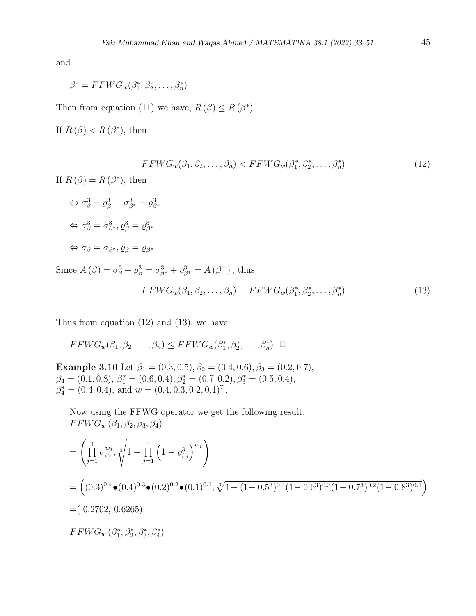and

$$
\beta^* = FFWG_w(\beta_1^*, \beta_2^*, \dots, \beta_n^*)
$$

Then from equation (11) we have,  $R(\beta) \leq R(\beta^*)$ .

If  $R(\beta) < R(\beta^*)$ , then

$$
FFWG_w(\beta_1, \beta_2, \dots, \beta_n) < FFWG_w(\beta_1^*, \beta_2^*, \dots, \beta_n^*) \tag{12}
$$

If  $R(\beta) = R(\beta^*)$ , then

$$
\Leftrightarrow \sigma_{\beta}^{3} - \varrho_{\beta}^{3} = \sigma_{\beta^{*}}^{3} - \varrho_{\beta^{*}}^{3}
$$

$$
\Leftrightarrow \sigma_{\beta}^{3} = \sigma_{\beta^{*}}^{3}, \varrho_{\beta}^{3} = \varrho_{\beta^{*}}^{3}
$$

$$
\Leftrightarrow \sigma_{\beta} = \sigma_{\beta^{*}}, \varrho_{\beta} = \varrho_{\beta^{*}}
$$

Since  $A(\beta) = \sigma_{\beta}^3 + \rho_{\beta}^3 = \sigma_{\beta^*}^3 + \rho_{\beta^*}^3 = A(\beta^+)$ , thus

$$
FFWG_w(\beta_1, \beta_2, \dots, \beta_n) = FFWG_w(\beta_1^*, \beta_2^*, \dots, \beta_n^*)
$$
\n(13)

Thus from equation (12) and (13), we have

$$
FFWG_w(\beta_1, \beta_2, \dots, \beta_n) \le FFWG_w(\beta_1^*, \beta_2^*, \dots, \beta_n^*).
$$

Example 3.10 Let  $\beta_1 = (0.3, 0.5), \beta_2 = (0.4, 0.6), \beta_3 = (0.2, 0.7),$  $\beta_4 = (0.1, 0.8), \, \beta_1^* = (0.6, 0.4), \beta_2^* = (0.7, 0.2), \beta_3^* = (0.5, 0.4),$  $\beta_4^* = (0.4, 0.4), \text{ and } w = (0.4, 0.3, 0.2, 0.1)^T,$ 

Now using the FFWG operator we get the following result.  $FFWG_w (\beta_1, \beta_2, \beta_3, \beta_4)$ 

$$
= \left(\prod_{j=1}^{4} \sigma_{\beta_{j}}^{w_{j}}, \sqrt[3]{1 - \prod_{j=1}^{4} (1 - \varrho_{\beta_{j}}^{3})^{w_{j}}}\right)
$$
  
\n
$$
= \left((0.3)^{0.4} \bullet (0.4)^{0.3} \bullet (0.2)^{0.2} \bullet (0.1)^{0.1}, \sqrt[3]{1 - (1 - 0.5^{3})^{0.4} (1 - 0.6^{3})^{0.3} (1 - 0.7^{3})^{0.2} (1 - 0.8^{3})^{0.1}}\right)
$$
  
\n
$$
= (0.2702, 0.6265)
$$
  
\n
$$
FFWG_{w}(\beta_{1}^{*}, \beta_{2}^{*}, \beta_{3}^{*}, \beta_{4}^{*})
$$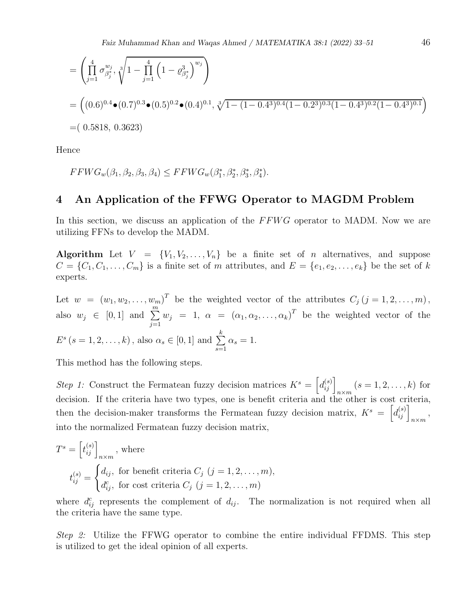$$
= \left(\prod_{j=1}^{4} \sigma_{\beta_{j}^{*}}^{w_{j}}, \sqrt[3]{1 - \prod_{j=1}^{4} (1 - \varrho_{\beta_{j}^{*}}^{3})^{w_{j}}}\right)
$$
  
=  $((0.6)^{0.4} \bullet (0.7)^{0.3} \bullet (0.5)^{0.2} \bullet (0.4)^{0.1}, \sqrt[3]{1 - (1 - 0.4^{3})^{0.4} (1 - 0.2^{3})^{0.3} (1 - 0.4^{3})^{0.2} (1 - 0.4^{3})^{0.1}})$   
=  $(0.5818, 0.3623)$ 

Hence

$$
FFWG_w(\beta_1, \beta_2, \beta_3, \beta_4) \leq FFWG_w(\beta_1^*, \beta_2^*, \beta_3^*, \beta_4^*).
$$

## 4 An Application of the FFWG Operator to MAGDM Problem

In this section, we discuss an application of the FFWG operator to MADM. Now we are utilizing FFNs to develop the MADM.

Algorithm Let  $V = \{V_1, V_2, \ldots, V_n\}$  be a finite set of n alternatives, and suppose  $C = \{C_1, C_1, \ldots, C_m\}$  is a finite set of m attributes, and  $E = \{e_1, e_2, \ldots, e_k\}$  be the set of k experts.

Let  $w = (w_1, w_2, \ldots, w_m)^T$  be the weighted vector of the attributes  $C_j$   $(j = 1, 2, \ldots, m)$ , also  $w_j \in [0,1]$  and  $\sum_{j=1}^m$  $w_j = 1, \alpha = (\alpha_1, \alpha_2, \dots, \alpha_k)^T$  be the weighted vector of the  $E^s$   $(s = 1, 2, \ldots, k)$ , also  $\alpha_s \in [0, 1]$  and  $\sum$ k  $s=1$  $\alpha_s=1.$ 

This method has the following steps.

Step 1: Construct the Fermatean fuzzy decision matrices  $K^s = \left[d_{ij}^{(s)}\right]_{n \times m}$   $(s = 1, 2, \ldots, k)$  for decision. If the criteria have two types, one is benefit criteria and the other is cost criteria, then the decision-maker transforms the Fermatean fuzzy decision matrix,  $K^s = \left[ d_{ij}^{(s)} \right]_{n \times m}$ , into the normalized Fermatean fuzzy decision matrix,

$$
T^{s} = \left[t_{ij}^{(s)}\right]_{n \times m}, \text{ where}
$$

$$
t_{ij}^{(s)} = \begin{cases} d_{ij}, & \text{for benefit criteria } C_{j} \ (j = 1, 2, \dots, m), \\ d_{ij}^{c}, & \text{for cost criteria } C_{j} \ (j = 1, 2, \dots, m) \end{cases}
$$

where  $d_{ij}^c$  represents the complement of  $d_{ij}$ . The normalization is not required when all the criteria have the same type.

Step 2: Utilize the FFWG operator to combine the entire individual FFDMS. This step is utilized to get the ideal opinion of all experts.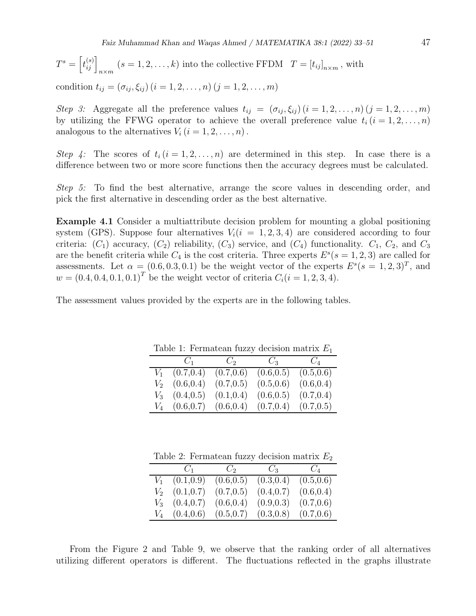$$
T^{s} = \left[t_{ij}^{(s)}\right]_{n \times m} (s = 1, 2, \dots, k)
$$
 into the collective FFDM  $T = \left[t_{ij}\right]_{n \times m}$ , with

condition  $t_{ij} = (\sigma_{ij}, \xi_{ij}) (i = 1, 2, ..., n) (j = 1, 2, ..., m)$ 

Step 3: Aggregate all the preference values  $t_{ij} = (\sigma_{ij}, \xi_{ij}) (i = 1, 2, \ldots, n) (j = 1, 2, \ldots, m)$ by utilizing the FFWG operator to achieve the overall preference value  $t_i$   $(i = 1, 2, \ldots, n)$ analogous to the alternatives  $V_i$   $(i = 1, 2, \ldots, n)$ .

Step 4: The scores of  $t_i$   $(i = 1, 2, ..., n)$  are determined in this step. In case there is a difference between two or more score functions then the accuracy degrees must be calculated.

Step 5: To find the best alternative, arrange the score values in descending order, and pick the first alternative in descending order as the best alternative.

Example 4.1 Consider a multiattribute decision problem for mounting a global positioning system (GPS). Suppose four alternatives  $V_i(i = 1, 2, 3, 4)$  are considered according to four criteria:  $(C_1)$  accuracy,  $(C_2)$  reliability,  $(C_3)$  service, and  $(C_4)$  functionality.  $C_1$ ,  $C_2$ , and  $C_3$ are the benefit criteria while  $C_4$  is the cost criteria. Three experts  $E^s(s = 1, 2, 3)$  are called for assessments. Let  $\alpha = (0.6, 0.3, 0.1)$  be the weight vector of the experts  $E^s(s = 1, 2, 3)^T$ , and  $w = (0.4, 0.4, 0.1, 0.1)^T$  be the weight vector of criteria  $C_i(i = 1, 2, 3, 4)$ .

The assessment values provided by the experts are in the following tables.

| $\text{Lip}_\text{L}$ is a contracted run and decision matrix $L$ |                 |            |            |            |  |
|-------------------------------------------------------------------|-----------------|------------|------------|------------|--|
|                                                                   | $C_1$           | $C_2$      | $C_3$      | $C_4$      |  |
| $V_1$                                                             | (0.7, 0.4)      | (0.7, 0.6) | (0.6, 0.5) | (0.5, 0.6) |  |
|                                                                   | $V_2$ (0.6,0.4) | (0.7, 0.5) | (0.5, 0.6) | (0.6, 0.4) |  |
|                                                                   | $V_3$ (0.4,0.5) | (0.1, 0.4) | (0.6, 0.5) | (0.7, 0.4) |  |
|                                                                   | $V_4$ (0.6,0.7) | (0.6, 0.4) | (0.7, 0.4) | (0.7, 0.5) |  |

Table 1: Fermatean fuzzy decision matrix  $E_1$ 

Table 2: Fermatean fuzzy decision matrix  $E_2$ 

|       |                 | $C_1$ $C_2$ | $C_3$      | $C_4$      |
|-------|-----------------|-------------|------------|------------|
| $V_1$ | (0.1, 0.9)      | (0.6, 0.5)  | (0.3, 0.4) | (0.5, 0.6) |
|       | $V_2$ (0.1,0.7) | (0.7, 0.5)  | (0.4, 0.7) | (0.6, 0.4) |
|       | $V_3$ (0.4,0.7) | (0.6, 0.4)  | (0.9, 0.3) | (0.7, 0.6) |
|       | $V_4$ (0.4,0.6) | (0.5, 0.7)  | (0.3, 0.8) | (0.7, 0.6) |

From the Figure 2 and Table 9, we observe that the ranking order of all alternatives utilizing different operators is different. The fluctuations reflected in the graphs illustrate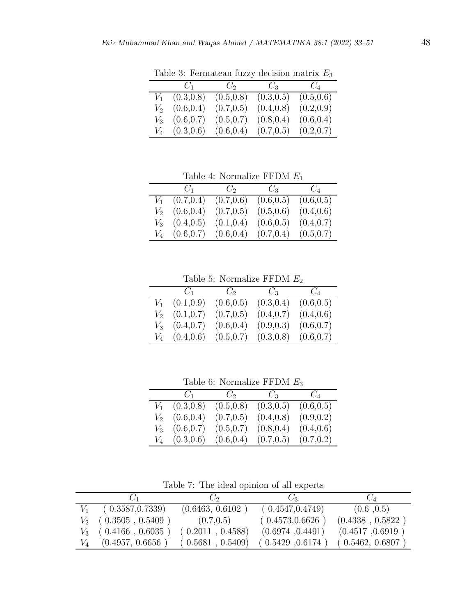|       | $C_1$           | $C_2$      | $C_3$      | $C_4$      |
|-------|-----------------|------------|------------|------------|
| $V_1$ | (0.3, 0.8)      | (0.5, 0.8) | (0.3, 0.5) | (0.5, 0.6) |
| $V_2$ | (0.6, 0.4)      | (0.7, 0.5) | (0.4, 0.8) | (0.2, 0.9) |
| $V_3$ | (0.6, 0.7)      | (0.5, 0.7) | (0.8, 0.4) | (0.6, 0.4) |
|       | $V_4$ (0.3,0.6) | (0.6, 0.4) | (0.7, 0.5) | (0.2, 0.7) |

Table 3: Fermatean fuzzy decision matrix  $\mathcal{E}_3$ 

Table 4: Normalize FFDM  $\mathcal{E}_1$ 

|         | $C_1$              | $C_2$      | $C_3$      | $C_4$      |
|---------|--------------------|------------|------------|------------|
| $V_1$   | (0.7, 0.4)         | (0.7, 0.6) | (0.6, 0.5) | (0.6, 0.5) |
| $V_{2}$ | (0.6, 0.4)         | (0.7, 0.5) | (0.5, 0.6) | (0.4, 0.6) |
|         | $V_3$ $(0.4, 0.5)$ | (0.1, 0.4) | (0.6, 0.5) | (0.4, 0.7) |
|         | $V_4$ (0.6,0.7)    | (0.6, 0.4) | (0.7, 0.4) | (0.5, 0.7) |

Table 5: Normalize  $\operatorname{FFDM}\,E_2$ 

| $C_1$           | $C_2$      | $C_3$      | $C_4$      |
|-----------------|------------|------------|------------|
| $V_1$ (0.1,0.9) | (0.6, 0.5) | (0.3, 0.4) | (0.6, 0.5) |
| $V_2$ (0.1,0.7) | (0.7, 0.5) | (0.4, 0.7) | (0.4, 0.6) |
| $V_3$ (0.4,0.7) | (0.6, 0.4) | (0.9, 0.3) | (0.6, 0.7) |
| $V_4$ (0.4,0.6) | (0.5, 0.7) | (0.3, 0.8) | (0.6, 0.7) |

Table 6: Normalize FFDM  $E_3$ 

|       | $C_1$           | $C_2$      | $C_3$      | $C_{4}$    |
|-------|-----------------|------------|------------|------------|
| $V_1$ | (0.3, 0.8)      | (0.5, 0.8) | (0.3, 0.5) | (0.6, 0.5) |
| $V_2$ | (0.6, 0.4)      | (0.7, 0.5) | (0.4, 0.8) | (0.9, 0.2) |
|       | $V_3$ (0.6,0.7) | (0.5, 0.7) | (0.8, 0.4) | (0.4, 0.6) |
|       | $V_4$ (0.3,0.6) | (0.6, 0.4) | (0.7, 0.5) | (0.7, 0.2) |

Table 7: The ideal opinion of all experts

|       |                         | $\mathcal{C}^{\prime}$ | $C_3$            | $C_4$            |
|-------|-------------------------|------------------------|------------------|------------------|
|       | (0.3587, 0.7339)        | (0.6463, 0.6102)       | (0.4547, 0.4749) | (0.6, 0.5)       |
|       | $V_2$ ( 0.3505 , 0.5409 | (0.7, 0.5)             | (0.4573, 0.6626) | (0.4338, 0.5822) |
|       | $V_3$ (0.4166, 0.6035)  | (0.2011, 0.4588)       | (0.6974, 0.4491) | (0.4517, 0.6919) |
| $V_4$ | (0.4957, 0.6656)        | (0.5681, 0.5409)       | (0.5429, 0.6174) | (0.5462, 0.6807) |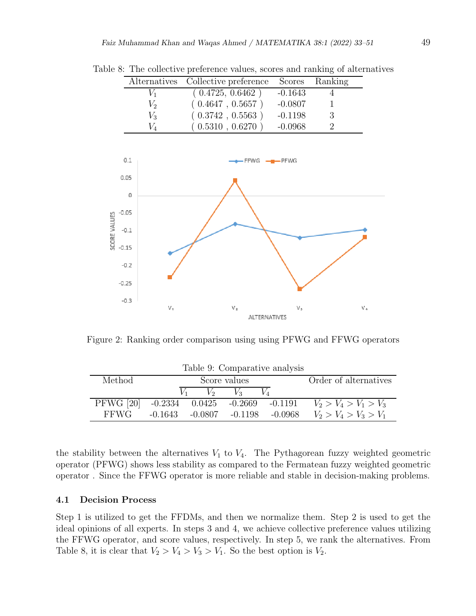|                | Alternatives Collective preference Scores Ranking |           |    |
|----------------|---------------------------------------------------|-----------|----|
| V1             | (0.4725, 0.6462)                                  | $-0.1643$ |    |
| $V_2$          | (0.4647, 0.5657)                                  | $-0.0807$ |    |
| V <sub>3</sub> | (0.3742, 0.5563)                                  | $-0.1198$ | -3 |
| V1             | (0.5310, 0.6270)                                  | $-0.0968$ |    |

Table 8: The collective preference values, scores and ranking of alternatives



Figure 2: Ranking order comparison using using PFWG and FFWG operators

|                                          | Table 9: Comparative analysis |       |              |                               |                         |  |  |
|------------------------------------------|-------------------------------|-------|--------------|-------------------------------|-------------------------|--|--|
| Method                                   |                               |       | Score values |                               | Order of alternatives   |  |  |
|                                          |                               | $V_2$ | $V_2$        |                               |                         |  |  |
| PFWG [20] -0.2334 0.0425 -0.2669 -0.1191 |                               |       |              |                               | $V_2 > V_4 > V_1 > V_3$ |  |  |
| <b>FFWG</b>                              | -0.1643                       |       |              | $-0.0807$ $-0.1198$ $-0.0968$ | $V_2 > V_4 > V_3 > V_1$ |  |  |

the stability between the alternatives  $V_1$  to  $V_4$ . The Pythagorean fuzzy weighted geometric operator (PFWG) shows less stability as compared to the Fermatean fuzzy weighted geometric operator . Since the FFWG operator is more reliable and stable in decision-making problems.

#### 4.1 Decision Process

Step 1 is utilized to get the FFDMs, and then we normalize them. Step 2 is used to get the ideal opinions of all experts. In steps 3 and 4, we achieve collective preference values utilizing the FFWG operator, and score values, respectively. In step 5, we rank the alternatives. From Table 8, it is clear that  $V_2 > V_4 > V_3 > V_1$ . So the best option is  $V_2$ .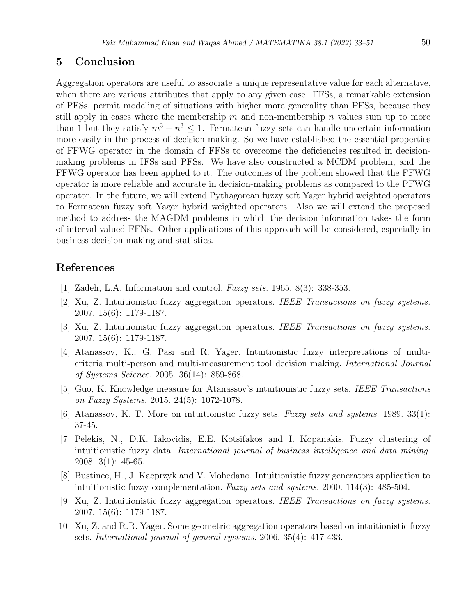### 5 Conclusion

Aggregation operators are useful to associate a unique representative value for each alternative, when there are various attributes that apply to any given case. FFSs, a remarkable extension of PFSs, permit modeling of situations with higher more generality than PFSs, because they still apply in cases where the membership  $m$  and non-membership  $n$  values sum up to more than 1 but they satisfy  $m^3 + n^3 \leq 1$ . Fermatean fuzzy sets can handle uncertain information more easily in the process of decision-making. So we have established the essential properties of FFWG operator in the domain of FFSs to overcome the deficiencies resulted in decisionmaking problems in IFSs and PFSs. We have also constructed a MCDM problem, and the FFWG operator has been applied to it. The outcomes of the problem showed that the FFWG operator is more reliable and accurate in decision-making problems as compared to the PFWG operator. In the future, we will extend Pythagorean fuzzy soft Yager hybrid weighted operators to Fermatean fuzzy soft Yager hybrid weighted operators. Also we will extend the proposed method to address the MAGDM problems in which the decision information takes the form of interval-valued FFNs. Other applications of this approach will be considered, especially in business decision-making and statistics.

## References

- [1] Zadeh, L.A. Information and control. Fuzzy sets. 1965. 8(3): 338-353.
- [2] Xu, Z. Intuitionistic fuzzy aggregation operators. IEEE Transactions on fuzzy systems. 2007. 15(6): 1179-1187.
- [3] Xu, Z. Intuitionistic fuzzy aggregation operators. IEEE Transactions on fuzzy systems. 2007. 15(6): 1179-1187.
- [4] Atanassov, K., G. Pasi and R. Yager. Intuitionistic fuzzy interpretations of multicriteria multi-person and multi-measurement tool decision making. International Journal of Systems Science. 2005. 36(14): 859-868.
- [5] Guo, K. Knowledge measure for Atanassov's intuitionistic fuzzy sets. IEEE Transactions on Fuzzy Systems. 2015. 24(5): 1072-1078.
- [6] Atanassov, K. T. More on intuitionistic fuzzy sets. Fuzzy sets and systems. 1989. 33(1): 37-45.
- [7] Pelekis, N., D.K. Iakovidis, E.E. Kotsifakos and I. Kopanakis. Fuzzy clustering of intuitionistic fuzzy data. International journal of business intelligence and data mining. 2008. 3(1): 45-65.
- [8] Bustince, H., J. Kacprzyk and V. Mohedano. Intuitionistic fuzzy generators application to intuitionistic fuzzy complementation. Fuzzy sets and systems. 2000. 114(3): 485-504.
- [9] Xu, Z. Intuitionistic fuzzy aggregation operators. IEEE Transactions on fuzzy systems. 2007. 15(6): 1179-1187.
- [10] Xu, Z. and R.R. Yager. Some geometric aggregation operators based on intuitionistic fuzzy sets. International journal of general systems. 2006. 35(4): 417-433.